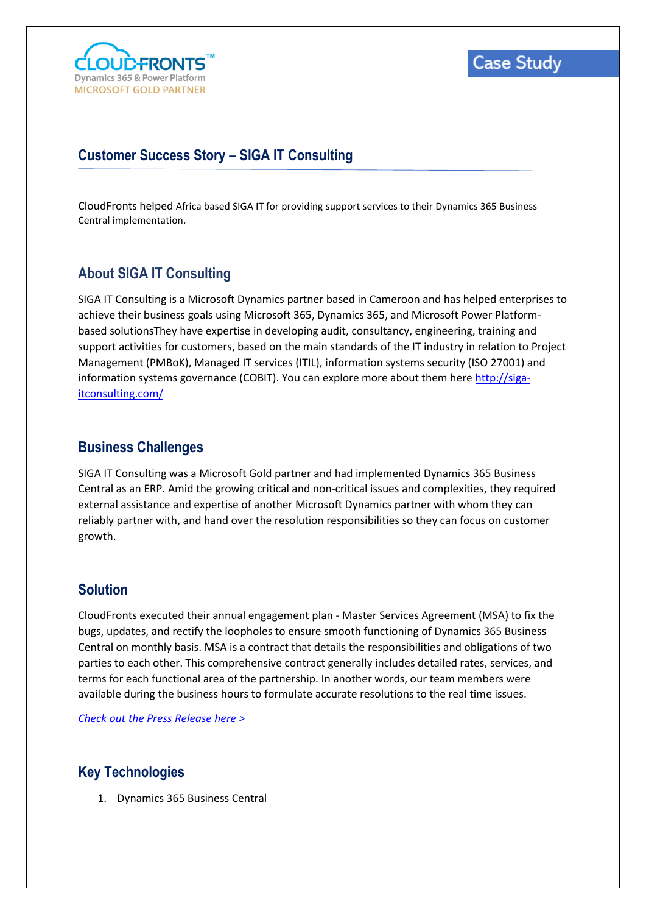

# **Customer Success Story – SIGA IT Consulting**

CloudFronts helped Africa based SIGA IT for providing support services to their Dynamics 365 Business Central implementation.

### **About SIGA IT Consulting**

SIGA IT Consulting is a Microsoft Dynamics partner based in Cameroon and has helped enterprises to achieve their business goals using Microsoft 365, Dynamics 365, and Microsoft Power Platformbased solutionsThey have expertise in developing audit, consultancy, engineering, training and support activities for customers, based on the main standards of the IT industry in relation to Project Management (PMBoK), Managed IT services (ITIL), information systems security (ISO 27001) and information systems governance (COBIT). You can explore more about them here [http://siga](http://siga-itconsulting.com/)[itconsulting.com/](http://siga-itconsulting.com/)

#### **Business Challenges**

SIGA IT Consulting was a Microsoft Gold partner and had implemented Dynamics 365 Business Central as an ERP. Amid the growing critical and non-critical issues and complexities, they required external assistance and expertise of another Microsoft Dynamics partner with whom they can reliably partner with, and hand over the resolution responsibilities so they can focus on customer growth.

### **Solution**

CloudFronts executed their annual engagement plan - Master Services Agreement (MSA) to fix the bugs, updates, and rectify the loopholes to ensure smooth functioning of Dynamics 365 Business Central on monthly basis. MSA is a contract that details the responsibilities and obligations of two parties to each other. This comprehensive contract generally includes detailed rates, services, and terms for each functional area of the partnership. In another words, our team members were available during the business hours to formulate accurate resolutions to the real time issues.

*[Check out the Press Release here >](https://www.cloudfronts.com/news/cloudfronts-signs-msa-with-cameroon-based-siga-it-for-microsoft-erp/)*

### **Key Technologies**

1. Dynamics 365 Business Central